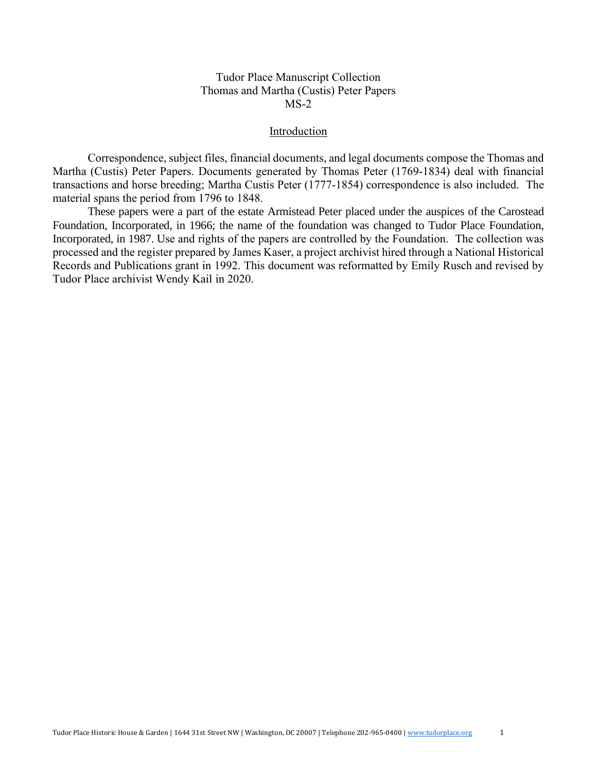#### Introduction

Correspondence, subject files, financial documents, and legal documents compose the Thomas and Martha (Custis) Peter Papers. Documents generated by Thomas Peter (1769-1834) deal with financial transactions and horse breeding; Martha Custis Peter (1777-1854) correspondence is also included. The material spans the period from 1796 to 1848.

These papers were a part of the estate Armistead Peter placed under the auspices of the Carostead Foundation, Incorporated, in 1966; the name of the foundation was changed to Tudor Place Foundation, Incorporated, in 1987. Use and rights of the papers are controlled by the Foundation. The collection was processed and the register prepared by James Kaser, a project archivist hired through a National Historical Records and Publications grant in 1992. This document was reformatted by Emily Rusch and revised by Tudor Place archivist Wendy Kail in 2020.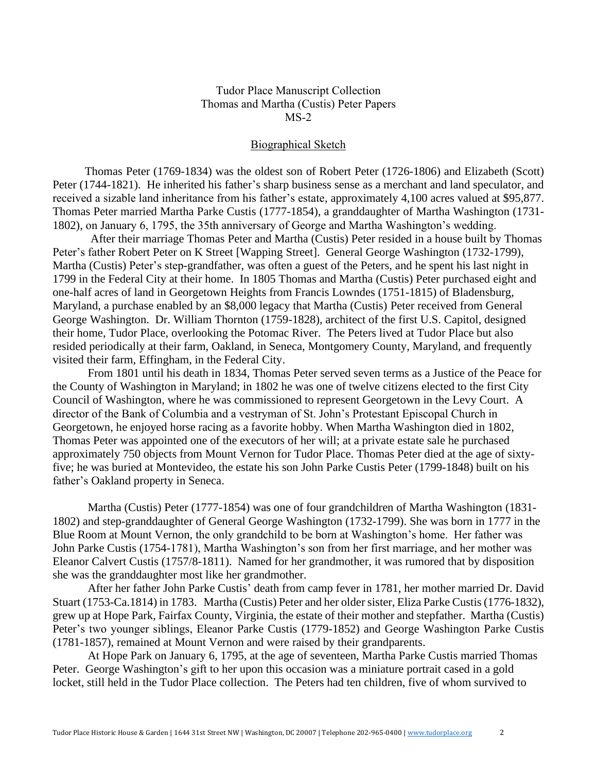### Biographical Sketch

 Thomas Peter (1769-1834) was the oldest son of Robert Peter (1726-1806) and Elizabeth (Scott) Peter (1744-1821). He inherited his father's sharp business sense as a merchant and land speculator, and received a sizable land inheritance from his father's estate, approximately 4,100 acres valued at \$95,877. Thomas Peter married Martha Parke Custis (1777-1854), a granddaughter of Martha Washington (1731- 1802), on January 6, 1795, the 35th anniversary of George and Martha Washington's wedding.

After their marriage Thomas Peter and Martha (Custis) Peter resided in a house built by Thomas Peter's father Robert Peter on K Street [Wapping Street]. General George Washington (1732-1799), Martha (Custis) Peter's step-grandfather, was often a guest of the Peters, and he spent his last night in 1799 in the Federal City at their home. In 1805 Thomas and Martha (Custis) Peter purchased eight and one-half acres of land in Georgetown Heights from Francis Lowndes (1751-1815) of Bladensburg, Maryland, a purchase enabled by an \$8,000 legacy that Martha (Custis) Peter received from General George Washington. Dr. William Thornton (1759-1828), architect of the first U.S. Capitol, designed their home, Tudor Place, overlooking the Potomac River. The Peters lived at Tudor Place but also resided periodically at their farm, Oakland, in Seneca, Montgomery County, Maryland, and frequently visited their farm, Effingham, in the Federal City.

From 1801 until his death in 1834, Thomas Peter served seven terms as a Justice of the Peace for the County of Washington in Maryland; in 1802 he was one of twelve citizens elected to the first City Council of Washington, where he was commissioned to represent Georgetown in the Levy Court. A director of the Bank of Columbia and a vestryman of St. John's Protestant Episcopal Church in Georgetown, he enjoyed horse racing as a favorite hobby. When Martha Washington died in 1802, Thomas Peter was appointed one of the executors of her will; at a private estate sale he purchased approximately 750 objects from Mount Vernon for Tudor Place. Thomas Peter died at the age of sixtyfive; he was buried at Montevideo, the estate his son John Parke Custis Peter (1799-1848) built on his father's Oakland property in Seneca.

Martha (Custis) Peter (1777-1854) was one of four grandchildren of Martha Washington (1831- 1802) and step-granddaughter of General George Washington (1732-1799). She was born in 1777 in the Blue Room at Mount Vernon, the only grandchild to be born at Washington's home. Her father was John Parke Custis (1754-1781), Martha Washington's son from her first marriage, and her mother was Eleanor Calvert Custis (1757/8-1811). Named for her grandmother, it was rumored that by disposition she was the granddaughter most like her grandmother.

 After her father John Parke Custis' death from camp fever in 1781, her mother married Dr. David Stuart (1753-Ca.1814) in 1783. Martha (Custis) Peter and her older sister, Eliza Parke Custis (1776-1832), grew up at Hope Park, Fairfax County, Virginia, the estate of their mother and stepfather. Martha (Custis) Peter's two younger siblings, Eleanor Parke Custis (1779-1852) and George Washington Parke Custis (1781-1857), remained at Mount Vernon and were raised by their grandparents.

At Hope Park on January 6, 1795, at the age of seventeen, Martha Parke Custis married Thomas Peter. George Washington's gift to her upon this occasion was a miniature portrait cased in a gold locket, still held in the Tudor Place collection. The Peters had ten children, five of whom survived to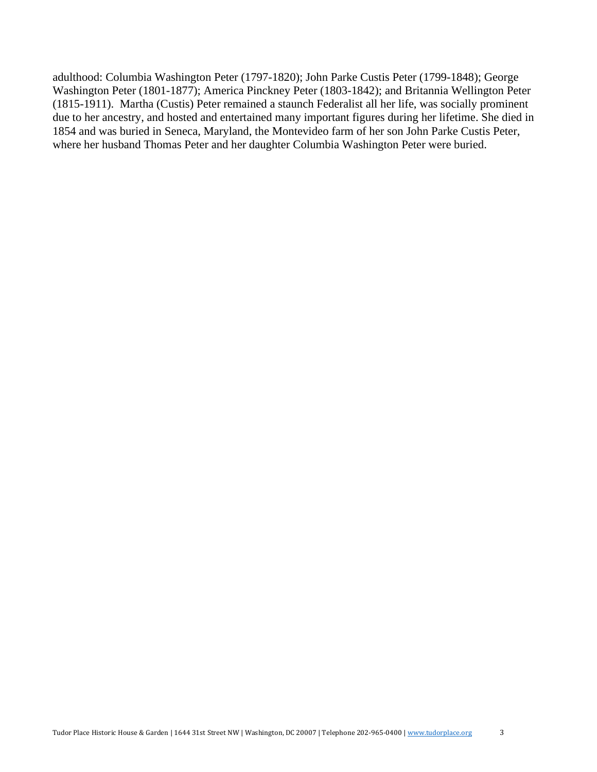adulthood: Columbia Washington Peter (1797-1820); John Parke Custis Peter (1799-1848); George Washington Peter (1801-1877); America Pinckney Peter (1803-1842); and Britannia Wellington Peter (1815-1911). Martha (Custis) Peter remained a staunch Federalist all her life, was socially prominent due to her ancestry, and hosted and entertained many important figures during her lifetime. She died in 1854 and was buried in Seneca, Maryland, the Montevideo farm of her son John Parke Custis Peter, where her husband Thomas Peter and her daughter Columbia Washington Peter were buried.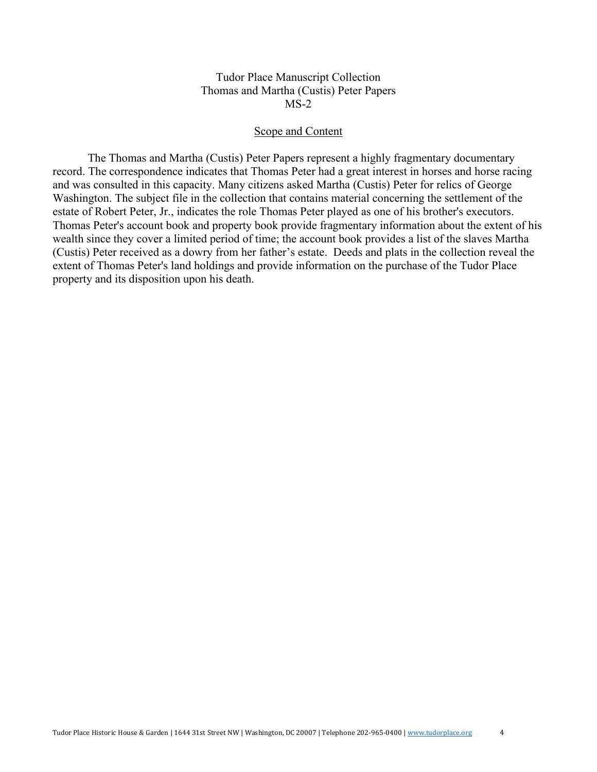#### Scope and Content

The Thomas and Martha (Custis) Peter Papers represent a highly fragmentary documentary record. The correspondence indicates that Thomas Peter had a great interest in horses and horse racing and was consulted in this capacity. Many citizens asked Martha (Custis) Peter for relics of George Washington. The subject file in the collection that contains material concerning the settlement of the estate of Robert Peter, Jr., indicates the role Thomas Peter played as one of his brother's executors. Thomas Peter's account book and property book provide fragmentary information about the extent of his wealth since they cover a limited period of time; the account book provides a list of the slaves Martha (Custis) Peter received as a dowry from her father's estate. Deeds and plats in the collection reveal the extent of Thomas Peter's land holdings and provide information on the purchase of the Tudor Place property and its disposition upon his death.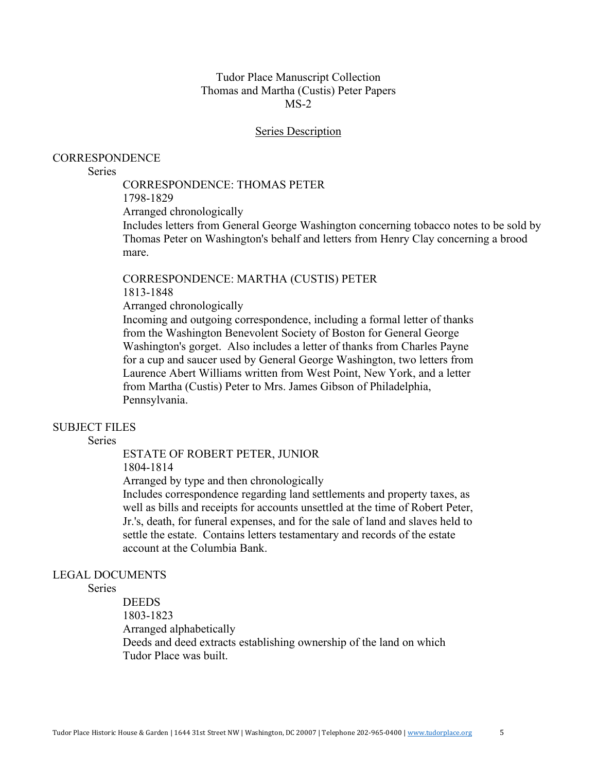#### **Series Description**

### **CORRESPONDENCE**

### **Series**

# CORRESPONDENCE: THOMAS PETER

1798-1829 Arranged chronologically

Includes letters from General George Washington concerning tobacco notes to be sold by Thomas Peter on Washington's behalf and letters from Henry Clay concerning a brood mare.

#### CORRESPONDENCE: MARTHA (CUSTIS) PETER 1813-1848

Arranged chronologically

Incoming and outgoing correspondence, including a formal letter of thanks from the Washington Benevolent Society of Boston for General George Washington's gorget. Also includes a letter of thanks from Charles Payne for a cup and saucer used by General George Washington, two letters from Laurence Abert Williams written from West Point, New York, and a letter from Martha (Custis) Peter to Mrs. James Gibson of Philadelphia, Pennsylvania.

# SUBJECT FILES

**Series** 

## ESTATE OF ROBERT PETER, JUNIOR

1804-1814

Arranged by type and then chronologically

Includes correspondence regarding land settlements and property taxes, as well as bills and receipts for accounts unsettled at the time of Robert Peter, Jr.'s, death, for funeral expenses, and for the sale of land and slaves held to settle the estate. Contains letters testamentary and records of the estate account at the Columbia Bank.

## LEGAL DOCUMENTS

Series

DEEDS 1803-1823 Arranged alphabetically Deeds and deed extracts establishing ownership of the land on which Tudor Place was built.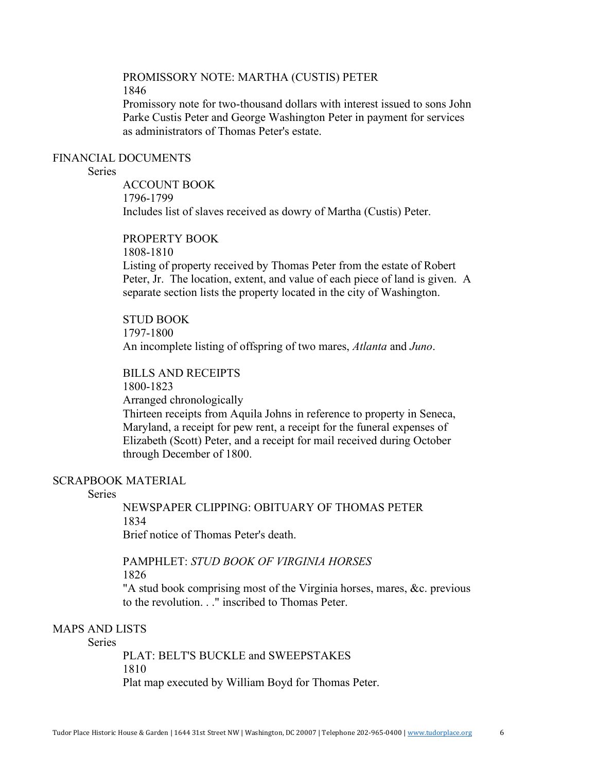# PROMISSORY NOTE: MARTHA (CUSTIS) PETER 1846

Promissory note for two-thousand dollars with interest issued to sons John Parke Custis Peter and George Washington Peter in payment for services as administrators of Thomas Peter's estate.

### FINANCIAL DOCUMENTS

# **Series**

ACCOUNT BOOK 1796-1799 Includes list of slaves received as dowry of Martha (Custis) Peter.

# PROPERTY BOOK

1808-1810

Listing of property received by Thomas Peter from the estate of Robert Peter, Jr. The location, extent, and value of each piece of land is given. A separate section lists the property located in the city of Washington.

STUD BOOK 1797-1800 An incomplete listing of offspring of two mares, *Atlanta* and *Juno*.

BILLS AND RECEIPTS 1800-1823 Arranged chronologically Thirteen receipts from Aquila Johns in reference to property in Seneca, Maryland, a receipt for pew rent, a receipt for the funeral expenses of Elizabeth (Scott) Peter, and a receipt for mail received during October through December of 1800.

# SCRAPBOOK MATERIAL

# Series

NEWSPAPER CLIPPING: OBITUARY OF THOMAS PETER 1834

Brief notice of Thomas Peter's death.

### PAMPHLET: *STUD BOOK OF VIRGINIA HORSES* 1826

"A stud book comprising most of the Virginia horses, mares, &c. previous to the revolution. . ." inscribed to Thomas Peter.

# MAPS AND LISTS

**Series** 

PLAT: BELT'S BUCKLE and SWEEPSTAKES 1810 Plat map executed by William Boyd for Thomas Peter.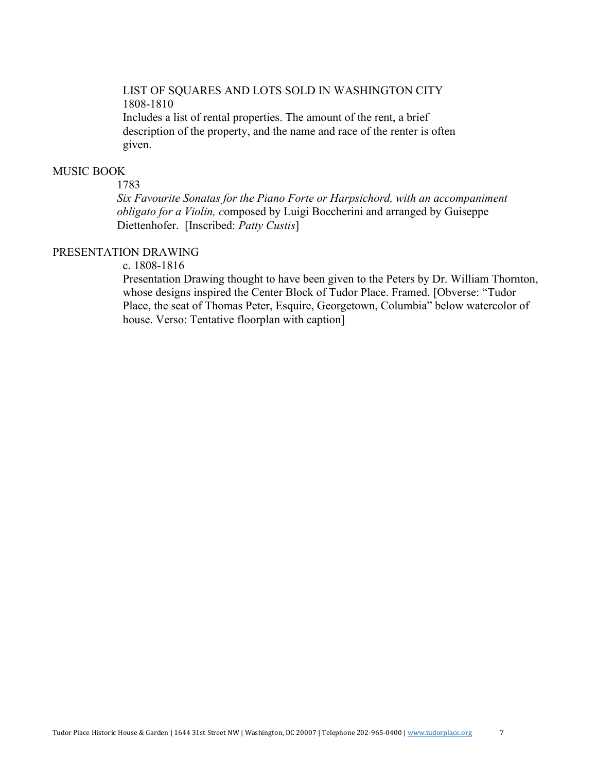# LIST OF SQUARES AND LOTS SOLD IN WASHINGTON CITY 1808-1810 Includes a list of rental properties. The amount of the rent, a brief description of the property, and the name and race of the renter is often given.

## MUSIC BOOK

### 1783

 *Six Favourite Sonatas for the Piano Forte or Harpsichord, with an accompaniment obligato for a Violin, c*omposed by Luigi Boccherini and arranged by Guiseppe Diettenhofer. [Inscribed: *Patty Custis*]

# PRESENTATION DRAWING

c. 1808-1816

Presentation Drawing thought to have been given to the Peters by Dr. William Thornton, whose designs inspired the Center Block of Tudor Place. Framed. [Obverse: "Tudor Place, the seat of Thomas Peter, Esquire, Georgetown, Columbia" below watercolor of house. Verso: Tentative floorplan with caption]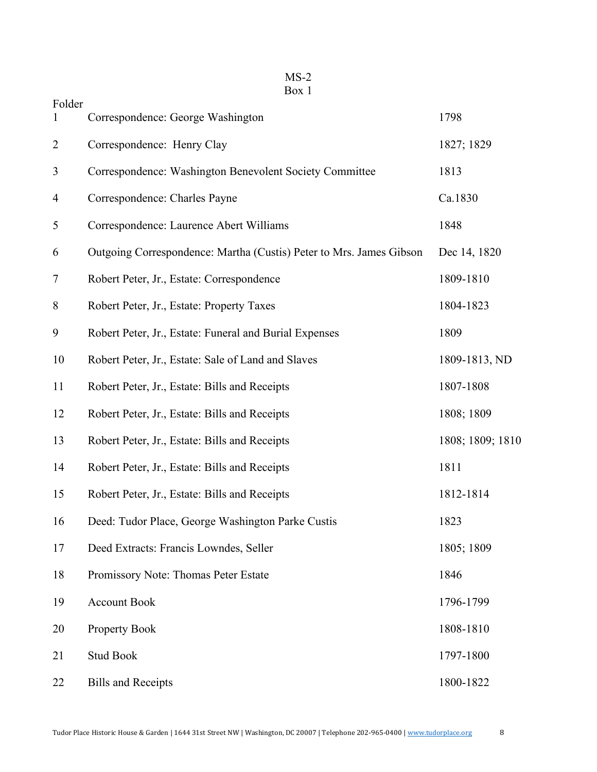| ИS  |  |
|-----|--|
| ∺ох |  |

| Folder<br>1    | Correspondence: George Washington                                   | 1798             |
|----------------|---------------------------------------------------------------------|------------------|
|                |                                                                     |                  |
| $\overline{2}$ | Correspondence: Henry Clay                                          | 1827; 1829       |
| 3              | Correspondence: Washington Benevolent Society Committee             | 1813             |
| $\overline{4}$ | Correspondence: Charles Payne                                       | Ca.1830          |
| 5              | Correspondence: Laurence Abert Williams                             | 1848             |
| 6              | Outgoing Correspondence: Martha (Custis) Peter to Mrs. James Gibson | Dec 14, 1820     |
| 7              | Robert Peter, Jr., Estate: Correspondence                           | 1809-1810        |
| 8              | Robert Peter, Jr., Estate: Property Taxes                           | 1804-1823        |
| 9              | Robert Peter, Jr., Estate: Funeral and Burial Expenses              | 1809             |
| 10             | Robert Peter, Jr., Estate: Sale of Land and Slaves                  | 1809-1813, ND    |
| 11             | Robert Peter, Jr., Estate: Bills and Receipts                       | 1807-1808        |
| 12             | Robert Peter, Jr., Estate: Bills and Receipts                       | 1808; 1809       |
| 13             | Robert Peter, Jr., Estate: Bills and Receipts                       | 1808; 1809; 1810 |
| 14             | Robert Peter, Jr., Estate: Bills and Receipts                       | 1811             |
| 15             | Robert Peter, Jr., Estate: Bills and Receipts                       | 1812-1814        |
| 16             | Deed: Tudor Place, George Washington Parke Custis                   | 1823             |
| 17             | Deed Extracts: Francis Lowndes, Seller                              | 1805; 1809       |
| 18             | Promissory Note: Thomas Peter Estate                                | 1846             |
| 19             | <b>Account Book</b>                                                 | 1796-1799        |
| 20             | <b>Property Book</b>                                                | 1808-1810        |
| 21             | <b>Stud Book</b>                                                    | 1797-1800        |
| 22             | <b>Bills and Receipts</b>                                           | 1800-1822        |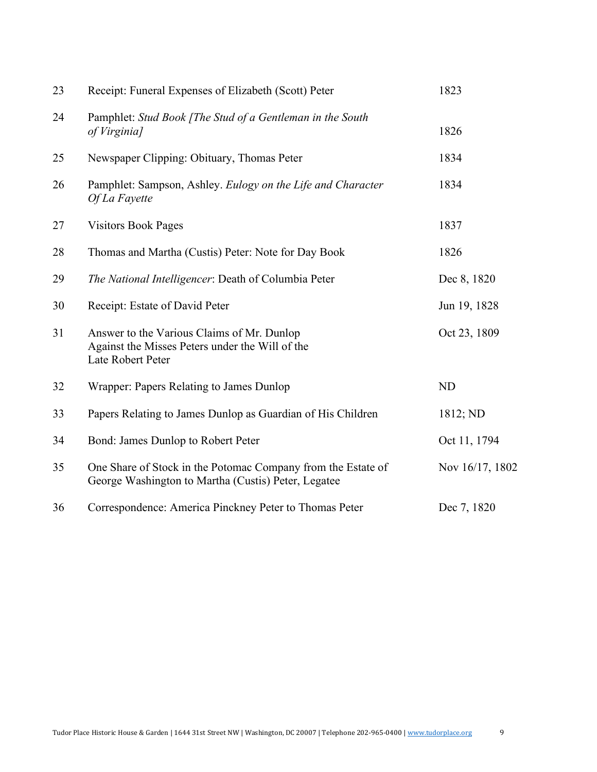| 23 | Receipt: Funeral Expenses of Elizabeth (Scott) Peter                                                                | 1823            |
|----|---------------------------------------------------------------------------------------------------------------------|-----------------|
| 24 | Pamphlet: Stud Book [The Stud of a Gentleman in the South<br>of Virginia]                                           | 1826            |
| 25 | Newspaper Clipping: Obituary, Thomas Peter                                                                          | 1834            |
| 26 | Pamphlet: Sampson, Ashley. Eulogy on the Life and Character<br>Of La Fayette                                        | 1834            |
| 27 | <b>Visitors Book Pages</b>                                                                                          | 1837            |
| 28 | Thomas and Martha (Custis) Peter: Note for Day Book                                                                 | 1826            |
| 29 | The National Intelligencer: Death of Columbia Peter                                                                 | Dec 8, 1820     |
| 30 | Receipt: Estate of David Peter                                                                                      | Jun 19, 1828    |
| 31 | Answer to the Various Claims of Mr. Dunlop<br>Against the Misses Peters under the Will of the<br>Late Robert Peter  | Oct 23, 1809    |
| 32 | Wrapper: Papers Relating to James Dunlop                                                                            | <b>ND</b>       |
| 33 | Papers Relating to James Dunlop as Guardian of His Children                                                         | 1812; ND        |
| 34 | Bond: James Dunlop to Robert Peter                                                                                  | Oct 11, 1794    |
| 35 | One Share of Stock in the Potomac Company from the Estate of<br>George Washington to Martha (Custis) Peter, Legatee | Nov 16/17, 1802 |
| 36 | Correspondence: America Pinckney Peter to Thomas Peter                                                              | Dec 7, 1820     |